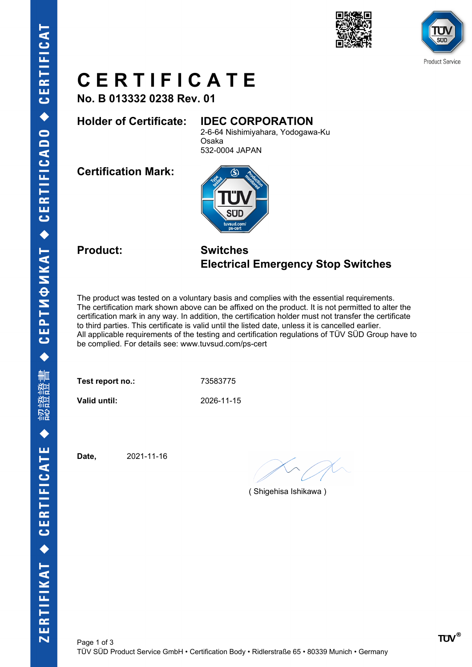



# **C E R T I F I C A T E**

**No. B 013332 0238 Rev. 01**

## **Holder of Certificate: IDEC CORPORATION**

2-6-64 Nishimiyahara, Yodogawa-Ku Osaka 532-0004 JAPAN

**Certification Mark:**



## **Product: Switches Electrical Emergency Stop Switches**

The product was tested on a voluntary basis and complies with the essential requirements. The certification mark shown above can be affixed on the product. It is not permitted to alter the certification mark in any way. In addition, the certification holder must not transfer the certificate to third parties. This certificate is valid until the listed date, unless it is cancelled earlier. All applicable requirements of the testing and certification regulations of TÜV SÜD Group have to be complied. For details see: www.tuvsud.com/ps-cert

Test report no.: 73583775

**Valid until:** 2026-11-15

**Date,** 2021-11-16

( Shigehisa Ishikawa )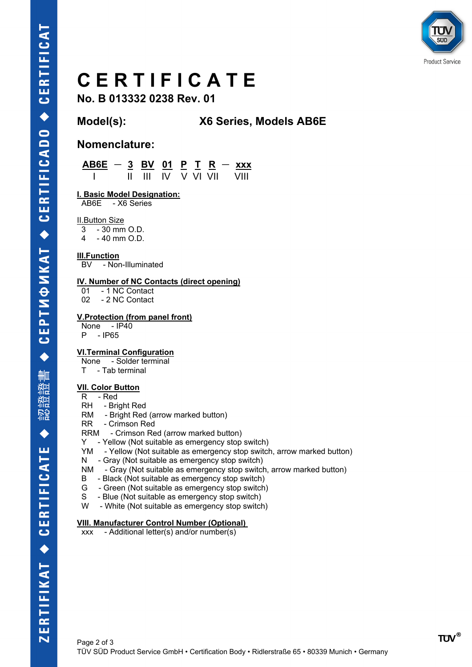

# **C E R T I F I C A T E**

**No. B 013332 0238 Rev. 01**

## **Model(s): X6 Series, Models AB6E**

### **Nomenclature:**

 **AB6E - 3 BV 01 P T R - xxx** I II III IV V VI VII VIII

**I. Basic Model Designation:**

AB6E - X6 Series

II.Button Size

 $3 - 30$  mm O.D. 4 - 40 mm O.D.

#### **III.Function**

BV - Non-Illuminated

#### **IV. Number of NC Contacts (direct opening)**

01 - 1 NC Contact

02 - 2 NC Contact

#### **V.Protection (from panel front)**

None - IP40 P - IP65

#### **VI.Terminal Configuration**

None - Solder terminal

T - Tab terminal

#### **VII. Color Button**

- $R Red$
- RH Bright Red
- RM Bright Red (arrow marked button)
- RR Crimson Red
- RRM Crimson Red (arrow marked button)
- Y Yellow (Not suitable as emergency stop switch)
- YM Yellow (Not suitable as emergency stop switch, arrow marked button)
- N Gray (Not suitable as emergency stop switch)
- NM Gray (Not suitable as emergency stop switch, arrow marked button)
- B Black (Not suitable as emergency stop switch)
- G Green (Not suitable as emergency stop switch)
- S Blue (Not suitable as emergency stop switch)
- W White (Not suitable as emergency stop switch)

#### **VIII. Manufacturer Control Number (Optional)**

xxx - Additional letter(s) and/or number(s)